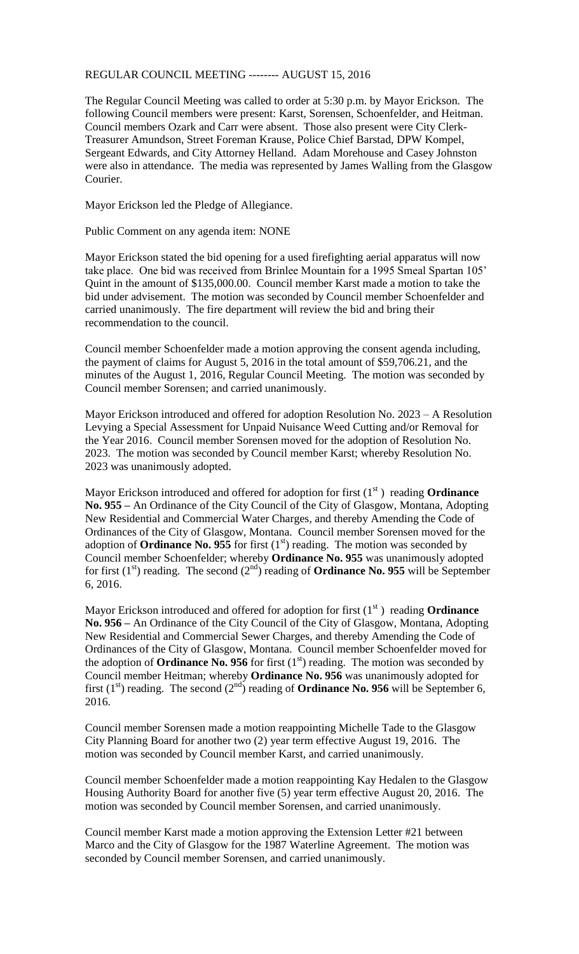## REGULAR COUNCIL MEETING -------- AUGUST 15, 2016

The Regular Council Meeting was called to order at 5:30 p.m. by Mayor Erickson. The following Council members were present: Karst, Sorensen, Schoenfelder, and Heitman. Council members Ozark and Carr were absent. Those also present were City Clerk-Treasurer Amundson, Street Foreman Krause, Police Chief Barstad, DPW Kompel, Sergeant Edwards, and City Attorney Helland. Adam Morehouse and Casey Johnston were also in attendance. The media was represented by James Walling from the Glasgow Courier.

Mayor Erickson led the Pledge of Allegiance.

Public Comment on any agenda item: NONE

Mayor Erickson stated the bid opening for a used firefighting aerial apparatus will now take place. One bid was received from Brinlee Mountain for a 1995 Smeal Spartan 105' Quint in the amount of \$135,000.00. Council member Karst made a motion to take the bid under advisement. The motion was seconded by Council member Schoenfelder and carried unanimously. The fire department will review the bid and bring their recommendation to the council.

Council member Schoenfelder made a motion approving the consent agenda including, the payment of claims for August 5, 2016 in the total amount of \$59,706.21, and the minutes of the August 1, 2016, Regular Council Meeting. The motion was seconded by Council member Sorensen; and carried unanimously.

Mayor Erickson introduced and offered for adoption Resolution No. 2023 – A Resolution Levying a Special Assessment for Unpaid Nuisance Weed Cutting and/or Removal for the Year 2016. Council member Sorensen moved for the adoption of Resolution No. 2023. The motion was seconded by Council member Karst; whereby Resolution No. 2023 was unanimously adopted.

Mayor Erickson introduced and offered for adoption for first (1<sup>st</sup>) reading **Ordinance No. 955 –** An Ordinance of the City Council of the City of Glasgow, Montana, Adopting New Residential and Commercial Water Charges, and thereby Amending the Code of Ordinances of the City of Glasgow, Montana. Council member Sorensen moved for the adoption of **Ordinance No. 955** for first  $(1<sup>st</sup>)$  reading. The motion was seconded by Council member Schoenfelder; whereby **Ordinance No. 955** was unanimously adopted for first  $(1<sup>st</sup>)$  reading. The second  $(2<sup>nd</sup>)$  reading of **Ordinance No. 955** will be September 6, 2016.

Mayor Erickson introduced and offered for adoption for first  $(1<sup>st</sup>)$  reading **Ordinance No. 956 –** An Ordinance of the City Council of the City of Glasgow, Montana, Adopting New Residential and Commercial Sewer Charges, and thereby Amending the Code of Ordinances of the City of Glasgow, Montana. Council member Schoenfelder moved for the adoption of **Ordinance No. 956** for first  $(1<sup>st</sup>)$  reading. The motion was seconded by Council member Heitman; whereby **Ordinance No. 956** was unanimously adopted for first  $(1<sup>st</sup>)$  reading. The second  $(2<sup>nd</sup>)$  reading of **Ordinance No. 956** will be September 6, 2016.

Council member Sorensen made a motion reappointing Michelle Tade to the Glasgow City Planning Board for another two (2) year term effective August 19, 2016. The motion was seconded by Council member Karst, and carried unanimously.

Council member Schoenfelder made a motion reappointing Kay Hedalen to the Glasgow Housing Authority Board for another five (5) year term effective August 20, 2016. The motion was seconded by Council member Sorensen, and carried unanimously.

Council member Karst made a motion approving the Extension Letter #21 between Marco and the City of Glasgow for the 1987 Waterline Agreement. The motion was seconded by Council member Sorensen, and carried unanimously.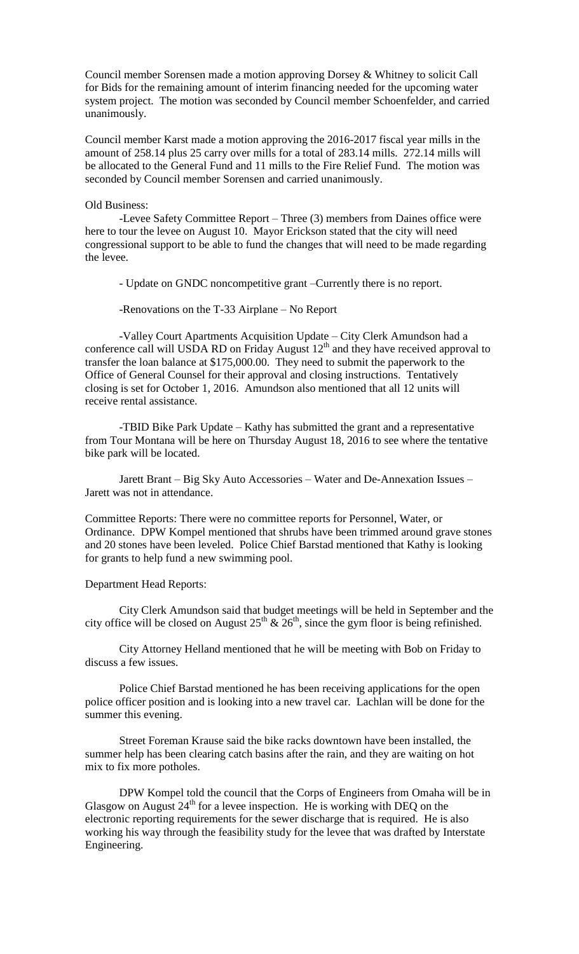Council member Sorensen made a motion approving Dorsey & Whitney to solicit Call for Bids for the remaining amount of interim financing needed for the upcoming water system project. The motion was seconded by Council member Schoenfelder, and carried unanimously.

Council member Karst made a motion approving the 2016-2017 fiscal year mills in the amount of 258.14 plus 25 carry over mills for a total of 283.14 mills. 272.14 mills will be allocated to the General Fund and 11 mills to the Fire Relief Fund. The motion was seconded by Council member Sorensen and carried unanimously.

## Old Business:

-Levee Safety Committee Report – Three (3) members from Daines office were here to tour the levee on August 10. Mayor Erickson stated that the city will need congressional support to be able to fund the changes that will need to be made regarding the levee.

- Update on GNDC noncompetitive grant –Currently there is no report.

-Renovations on the T-33 Airplane – No Report

-Valley Court Apartments Acquisition Update – City Clerk Amundson had a conference call will USDA RD on Friday August  $12<sup>th</sup>$  and they have received approval to transfer the loan balance at \$175,000.00. They need to submit the paperwork to the Office of General Counsel for their approval and closing instructions. Tentatively closing is set for October 1, 2016. Amundson also mentioned that all 12 units will receive rental assistance.

-TBID Bike Park Update – Kathy has submitted the grant and a representative from Tour Montana will be here on Thursday August 18, 2016 to see where the tentative bike park will be located.

Jarett Brant – Big Sky Auto Accessories – Water and De-Annexation Issues – Jarett was not in attendance.

Committee Reports: There were no committee reports for Personnel, Water, or Ordinance. DPW Kompel mentioned that shrubs have been trimmed around grave stones and 20 stones have been leveled. Police Chief Barstad mentioned that Kathy is looking for grants to help fund a new swimming pool.

## Department Head Reports:

City Clerk Amundson said that budget meetings will be held in September and the city office will be closed on August  $25<sup>th</sup>$  &  $26<sup>th</sup>$ , since the gym floor is being refinished.

City Attorney Helland mentioned that he will be meeting with Bob on Friday to discuss a few issues.

Police Chief Barstad mentioned he has been receiving applications for the open police officer position and is looking into a new travel car. Lachlan will be done for the summer this evening.

Street Foreman Krause said the bike racks downtown have been installed, the summer help has been clearing catch basins after the rain, and they are waiting on hot mix to fix more potholes.

DPW Kompel told the council that the Corps of Engineers from Omaha will be in Glasgow on August  $24<sup>th</sup>$  for a levee inspection. He is working with DEQ on the electronic reporting requirements for the sewer discharge that is required. He is also working his way through the feasibility study for the levee that was drafted by Interstate Engineering.